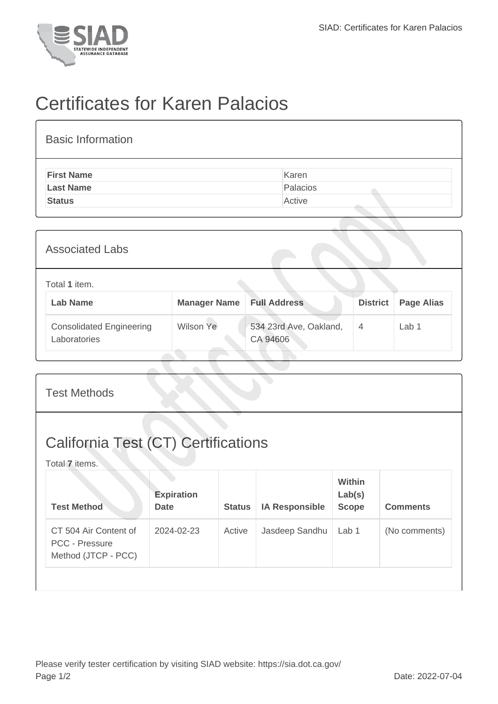

## Certificates for Karen Palacios

| <b>Basic Information</b> |          |
|--------------------------|----------|
| <b>First Name</b>        | Karen    |
| <b>Last Name</b>         | Palacios |
| <b>Status</b>            | Active   |

| <b>Associated Labs</b>                          |                     |                                    |                 |                   |  |
|-------------------------------------------------|---------------------|------------------------------------|-----------------|-------------------|--|
| Total 1 item.<br><b>Lab Name</b>                | <b>Manager Name</b> | <b>Full Address</b>                | <b>District</b> | <b>Page Alias</b> |  |
| <b>Consolidated Engineering</b><br>Laboratories | Wilson Ye           | 534 23rd Ave, Oakland,<br>CA 94606 | $\overline{4}$  | Lab <sub>1</sub>  |  |

| <b>Test Methods</b>                                                   |                                  |               |                       |                                  |                 |  |
|-----------------------------------------------------------------------|----------------------------------|---------------|-----------------------|----------------------------------|-----------------|--|
| <b>California Test (CT) Certifications</b><br>Total 7 items.          |                                  |               |                       |                                  |                 |  |
| <b>Test Method</b>                                                    | <b>Expiration</b><br><b>Date</b> | <b>Status</b> | <b>IA Responsible</b> | Within<br>Lab(s)<br><b>Scope</b> | <b>Comments</b> |  |
| CT 504 Air Content of<br><b>PCC - Pressure</b><br>Method (JTCP - PCC) | 2024-02-23                       | Active        | Jasdeep Sandhu        | Lab 1                            | (No comments)   |  |
|                                                                       |                                  |               |                       |                                  |                 |  |